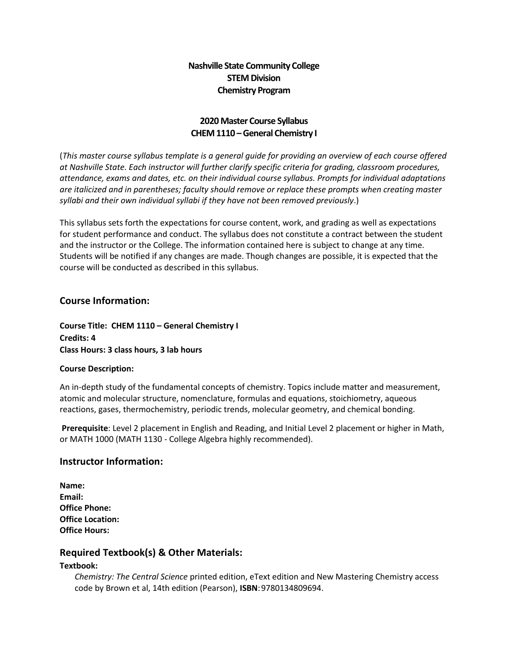## **Nashville State Community College STEM Division Chemistry Program**

### **2020 Master Course Syllabus CHEM 1110 –General Chemistry I**

(*This master course syllabus template is a general guide for providing an overview of each course offered at Nashville State. Each instructor will further clarify specific criteria for grading, classroom procedures, attendance, exams and dates, etc. on their individual course syllabus. Prompts for individual adaptations are italicized and in parentheses; faculty should remove or replace these prompts when creating master syllabi and their own individual syllabi if they have not been removed previously*.)

This syllabus sets forth the expectations for course content, work, and grading as well as expectations for student performance and conduct. The syllabus does not constitute a contract between the student and the instructor or the College. The information contained here is subject to change at any time. Students will be notified if any changes are made. Though changes are possible, it is expected that the course will be conducted as described in this syllabus.

### **Course Information:**

**Course Title: CHEM 1110 – General Chemistry I Credits: 4 Class Hours: 3 class hours, 3 lab hours**

#### **Course Description:**

An in-depth study of the fundamental concepts of chemistry. Topics include matter and measurement, atomic and molecular structure, nomenclature, formulas and equations, stoichiometry, aqueous reactions, gases, thermochemistry, periodic trends, molecular geometry, and chemical bonding.

**Prerequisite**: Level 2 placement in English and Reading, and Initial Level 2 placement or higher in Math, or MATH 1000 (MATH 1130 - College Algebra highly recommended).

#### **Instructor Information:**

| Name:                   |
|-------------------------|
| Email:                  |
| <b>Office Phone:</b>    |
| <b>Office Location:</b> |
| <b>Office Hours:</b>    |

#### **Required Textbook(s) & Other Materials:**

#### **Textbook:**

*Chemistry: The Central Science* printed edition, eText edition and New Mastering Chemistry access code by Brown et al, 14th edition (Pearson), **ISBN**:9780134809694.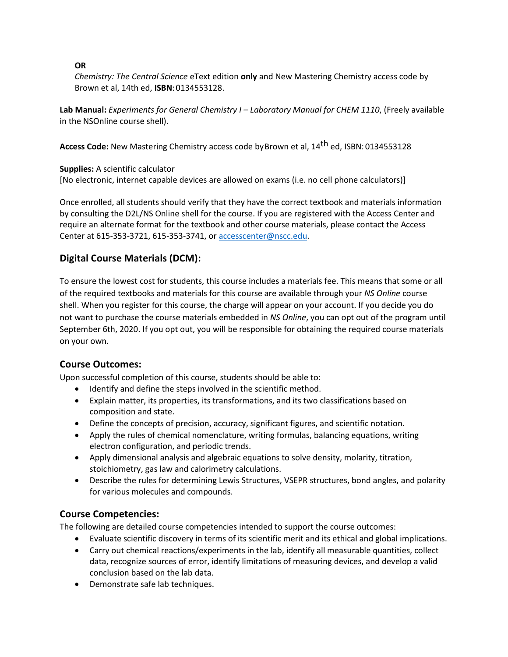#### **OR**

*Chemistry: The Central Science* eText edition **only** and New Mastering Chemistry access code by Brown et al, 14th ed, **ISBN**:0134553128.

Lab Manual: *Experiments for General Chemistry I - Laboratory Manual for CHEM 1110, (Freely available* in the NSOnline course shell).

**Access Code:** New Mastering Chemistry access code byBrown et al, 14th ed, ISBN: 0134553128

**Supplies:** A scientific calculator

[No electronic, internet capable devices are allowed on exams (i.e. no cell phone calculators)]

Once enrolled, all students should verify that they have the correct textbook and materials information by consulting the D2L/NS Online shell for the course. If you are registered with the Access Center and require an alternate format for the textbook and other course materials, please contact the Access Center at 615-353-3721, 615-353-3741, o[r accesscenter@nscc.edu.](about:blank)

# **Digital Course Materials (DCM):**

To ensure the lowest cost for students, this course includes a materials fee. This means that some or all of the required textbooks and materials for this course are available through your *NS Online* course shell. When you register for this course, the charge will appear on your account. If you decide you do not want to purchase the course materials embedded in *NS Online*, you can opt out of the program until September 6th, 2020. If you opt out, you will be responsible for obtaining the required course materials on your own.

## **Course Outcomes:**

Upon successful completion of this course, students should be able to:

- Identify and define the steps involved in the scientific method.
- Explain matter, its properties, its transformations, and its two classifications based on composition and state.
- Define the concepts of precision, accuracy, significant figures, and scientific notation.
- Apply the rules of chemical nomenclature, writing formulas, balancing equations, writing electron configuration, and periodic trends.
- Apply dimensional analysis and algebraic equations to solve density, molarity, titration, stoichiometry, gas law and calorimetry calculations.
- Describe the rules for determining Lewis Structures, VSEPR structures, bond angles, and polarity for various molecules and compounds.

## **Course Competencies:**

The following are detailed course competencies intended to support the course outcomes:

- Evaluate scientific discovery in terms of its scientific merit and its ethical and global implications.
- Carry out chemical reactions/experiments in the lab, identify all measurable quantities, collect data, recognize sources of error, identify limitations of measuring devices, and develop a valid conclusion based on the lab data.
- Demonstrate safe lab techniques.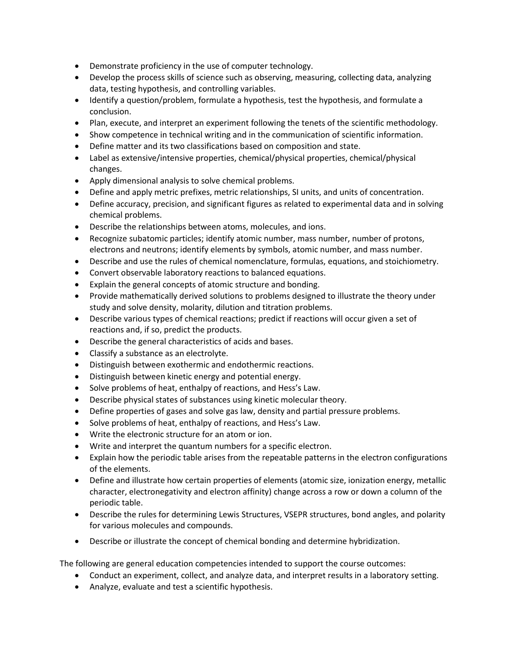- Demonstrate proficiency in the use of computer technology.
- Develop the process skills of science such as observing, measuring, collecting data, analyzing data, testing hypothesis, and controlling variables.
- Identify a question/problem, formulate a hypothesis, test the hypothesis, and formulate a conclusion.
- Plan, execute, and interpret an experiment following the tenets of the scientific methodology.
- Show competence in technical writing and in the communication of scientific information.
- Define matter and its two classifications based on composition and state.
- Label as extensive/intensive properties, chemical/physical properties, chemical/physical changes.
- Apply dimensional analysis to solve chemical problems.
- Define and apply metric prefixes, metric relationships, SI units, and units of concentration.
- Define accuracy, precision, and significant figures as related to experimental data and in solving chemical problems.
- Describe the relationships between atoms, molecules, and ions.
- Recognize subatomic particles; identify atomic number, mass number, number of protons, electrons and neutrons; identify elements by symbols, atomic number, and mass number.
- Describe and use the rules of chemical nomenclature, formulas, equations, and stoichiometry.
- Convert observable laboratory reactions to balanced equations.
- Explain the general concepts of atomic structure and bonding.
- Provide mathematically derived solutions to problems designed to illustrate the theory under study and solve density, molarity, dilution and titration problems.
- Describe various types of chemical reactions; predict if reactions will occur given a set of reactions and, if so, predict the products.
- Describe the general characteristics of acids and bases.
- Classify a substance as an electrolyte.
- Distinguish between exothermic and endothermic reactions.
- Distinguish between kinetic energy and potential energy.
- Solve problems of heat, enthalpy of reactions, and Hess's Law.
- Describe physical states of substances using kinetic molecular theory.
- Define properties of gases and solve gas law, density and partial pressure problems.
- Solve problems of heat, enthalpy of reactions, and Hess's Law.
- Write the electronic structure for an atom or ion.
- Write and interpret the quantum numbers for a specific electron.
- Explain how the periodic table arises from the repeatable patterns in the electron configurations of the elements.
- Define and illustrate how certain properties of elements (atomic size, ionization energy, metallic character, electronegativity and electron affinity) change across a row or down a column of the periodic table.
- Describe the rules for determining Lewis Structures, VSEPR structures, bond angles, and polarity for various molecules and compounds.
- Describe or illustrate the concept of chemical bonding and determine hybridization.

The following are general education competencies intended to support the course outcomes:

- Conduct an experiment, collect, and analyze data, and interpret results in a laboratory setting.
- Analyze, evaluate and test a scientific hypothesis.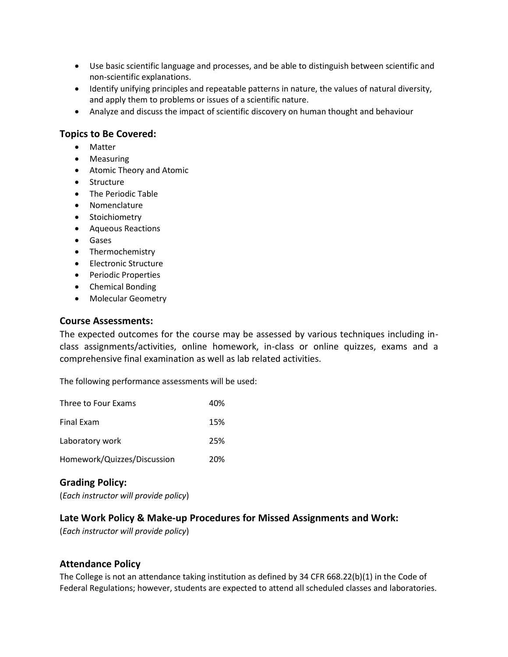- Use basic scientific language and processes, and be able to distinguish between scientific and non-scientific explanations.
- Identify unifying principles and repeatable patterns in nature, the values of natural diversity, and apply them to problems or issues of a scientific nature.
- Analyze and discuss the impact of scientific discovery on human thought and behaviour

#### **Topics to Be Covered:**

- Matter
- Measuring
- Atomic Theory and Atomic
- Structure
- The Periodic Table
- Nomenclature
- Stoichiometry
- Aqueous Reactions
- Gases
- Thermochemistry
- Electronic Structure
- Periodic Properties
- Chemical Bonding
- Molecular Geometry

#### **Course Assessments:**

The expected outcomes for the course may be assessed by various techniques including inclass assignments/activities, online homework, in-class or online quizzes, exams and a comprehensive final examination as well as lab related activities.

The following performance assessments will be used:

| Three to Four Exams         | 40% |
|-----------------------------|-----|
| <b>Final Exam</b>           | 15% |
| Laboratory work             | 25% |
| Homework/Quizzes/Discussion | 20% |

## **Grading Policy:**

(*Each instructor will provide policy*)

#### **Late Work Policy & Make-up Procedures for Missed Assignments and Work:**

(*Each instructor will provide policy*)

#### **Attendance Policy**

The College is not an attendance taking institution as defined by 34 CFR 668.22(b)(1) in the Code of Federal Regulations; however, students are expected to attend all scheduled classes and laboratories.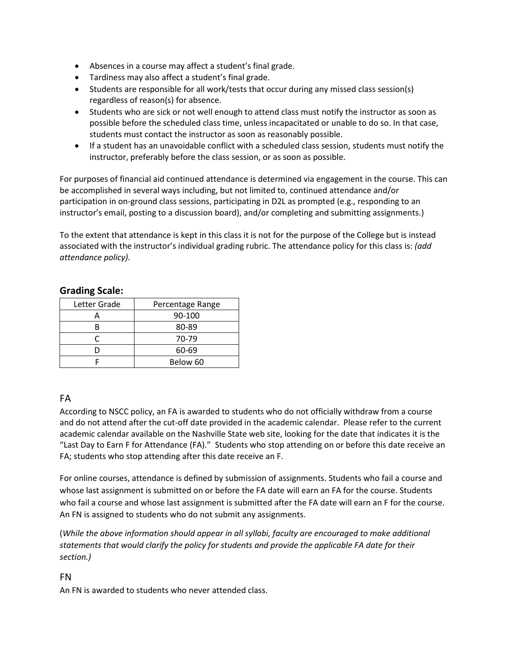- Absences in a course may affect a student's final grade.
- Tardiness may also affect a student's final grade.
- Students are responsible for all work/tests that occur during any missed class session(s) regardless of reason(s) for absence.
- Students who are sick or not well enough to attend class must notify the instructor as soon as possible before the scheduled class time, unless incapacitated or unable to do so. In that case, students must contact the instructor as soon as reasonably possible.
- If a student has an unavoidable conflict with a scheduled class session, students must notify the instructor, preferably before the class session, or as soon as possible.

For purposes of financial aid continued attendance is determined via engagement in the course. This can be accomplished in several ways including, but not limited to, continued attendance and/or participation in on-ground class sessions, participating in D2L as prompted (e.g., responding to an instructor's email, posting to a discussion board), and/or completing and submitting assignments.)

To the extent that attendance is kept in this class it is not for the purpose of the College but is instead associated with the instructor's individual grading rubric. The attendance policy for this class is: *(add attendance policy).*

| Letter Grade | Percentage Range |
|--------------|------------------|
|              | 90-100           |
|              | 80-89            |
|              | 70-79            |
| n            | 60-69            |
|              | Below 60         |

### **Grading Scale:**

## FA

According to NSCC policy, an FA is awarded to students who do not officially withdraw from a course and do not attend after the cut-off date provided in the academic calendar. Please refer to the current academic calendar available on the Nashville State web site, looking for the date that indicates it is the "Last Day to Earn F for Attendance (FA)." Students who stop attending on or before this date receive an FA; students who stop attending after this date receive an F.

For online courses, attendance is defined by submission of assignments. Students who fail a course and whose last assignment is submitted on or before the FA date will earn an FA for the course. Students who fail a course and whose last assignment is submitted after the FA date will earn an F for the course. An FN is assigned to students who do not submit any assignments.

(*While the above information should appear in all syllabi, faculty are encouraged to make additional statements that would clarify the policy for students and provide the applicable FA date for their section.)*

#### FN

An FN is awarded to students who never attended class.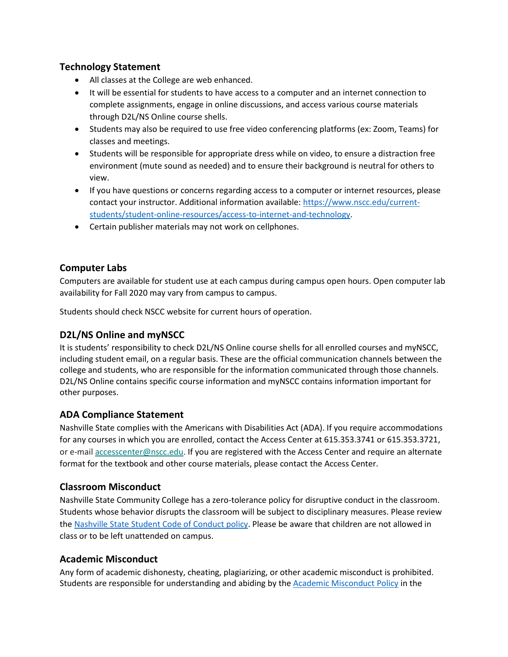### **Technology Statement**

- All classes at the College are web enhanced.
- It will be essential for students to have access to a computer and an internet connection to complete assignments, engage in online discussions, and access various course materials through D2L/NS Online course shells.
- Students may also be required to use free video conferencing platforms (ex: Zoom, Teams) for classes and meetings.
- Students will be responsible for appropriate dress while on video, to ensure a distraction free environment (mute sound as needed) and to ensure their background is neutral for others to view.
- If you have questions or concerns regarding access to a computer or internet resources, please contact your instructor. Additional information available: [https://www.nscc.edu/current](about:blank)[students/student-online-resources/access-to-internet-and-technology.](about:blank)
- Certain publisher materials may not work on cellphones.

### **Computer Labs**

Computers are available for student use at each campus during campus open hours. Open computer lab availability for Fall 2020 may vary from campus to campus.

Students should check NSCC website for current hours of operation.

## **D2L/NS Online and myNSCC**

It is students' responsibility to check D2L/NS Online course shells for all enrolled courses and myNSCC, including student email, on a regular basis. These are the official communication channels between the college and students, who are responsible for the information communicated through those channels. D2L/NS Online contains specific course information and myNSCC contains information important for other purposes.

#### **ADA Compliance Statement**

Nashville State complies with the Americans with Disabilities Act (ADA). If you require accommodations for any courses in which you are enrolled, contact the Access Center at 615.353.3741 or 615.353.3721, or e-mail [accesscenter@nscc.edu.](about:blank) If you are registered with the Access Center and require an alternate format for the textbook and other course materials, please contact the Access Center.

## **Classroom Misconduct**

Nashville State Community College has a zero-tolerance policy for disruptive conduct in the classroom. Students whose behavior disrupts the classroom will be subject to disciplinary measures. Please review th[e Nashville State Student Code of Conduct policy.](about:blank) Please be aware that children are not allowed in class or to be left unattended on campus.

#### **Academic Misconduct**

Any form of academic dishonesty, cheating, plagiarizing, or other academic misconduct is prohibited. Students are responsible for understanding and abiding by the **Academic Misconduct Policy** in the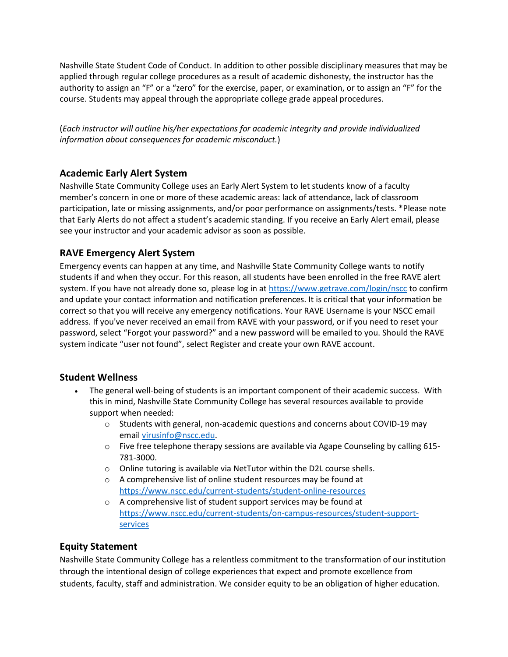Nashville State Student Code of Conduct. In addition to other possible disciplinary measures that may be applied through regular college procedures as a result of academic dishonesty, the instructor has the authority to assign an "F" or a "zero" for the exercise, paper, or examination, or to assign an "F" for the course. Students may appeal through the appropriate college grade appeal procedures.

(*Each instructor will outline his/her expectations for academic integrity and provide individualized information about consequences for academic misconduct.*)

# **Academic Early Alert System**

Nashville State Community College uses an Early Alert System to let students know of a faculty member's concern in one or more of these academic areas: lack of attendance, lack of classroom participation, late or missing assignments, and/or poor performance on assignments/tests. \*Please note that Early Alerts do not affect a student's academic standing. If you receive an Early Alert email, please see your instructor and your academic advisor as soon as possible.

## **RAVE Emergency Alert System**

Emergency events can happen at any time, and Nashville State Community College wants to notify students if and when they occur. For this reason, all students have been enrolled in the free RAVE alert system. If you have not already done so, please log in at [https://www.getrave.com/login/nscc](about:blank) to confirm and update your contact information and notification preferences. It is critical that your information be correct so that you will receive any emergency notifications. Your RAVE Username is your NSCC email address. If you've never received an email from RAVE with your password, or if you need to reset your password, select "Forgot your password?" and a new password will be emailed to you. Should the RAVE system indicate "user not found", select Register and create your own RAVE account.

## **Student Wellness**

- The general well-being of students is an important component of their academic success. With this in mind, Nashville State Community College has several resources available to provide support when needed:
	- o Students with general, non-academic questions and concerns about COVID-19 may email [virusinfo@nscc.edu](about:blank).
	- o Five free telephone therapy sessions are available via Agape Counseling by calling 615- 781-3000.
	- o Online tutoring is available via NetTutor within the D2L course shells.
	- o A comprehensive list of online student resources may be found at [https://www.nscc.edu/current-students/student-online-resources](about:blank)
	- o A comprehensive list of student support services may be found at [https://www.nscc.edu/current-students/on-campus-resources/student-support](about:blank)[services](about:blank)

## **Equity Statement**

Nashville State Community College has a relentless commitment to the transformation of our institution through the intentional design of college experiences that expect and promote excellence from students, faculty, staff and administration. We consider equity to be an obligation of higher education.